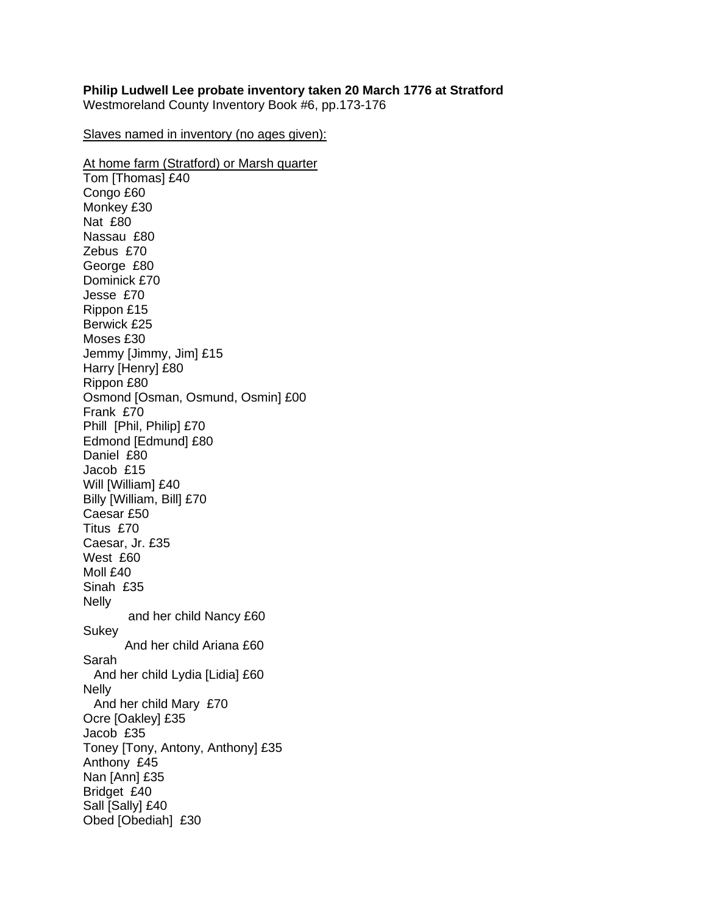## **Philip Ludwell Lee probate inventory taken 20 March 1776 at Stratford**

Westmoreland County Inventory Book #6, pp.173-176

Slaves named in inventory (no ages given):

At home farm (Stratford) or Marsh quarter Tom [Thomas] £40 Congo £60 Monkey £30 Nat £80 Nassau £80 Zebus £70 George £80 Dominick £70 Jesse £70 Rippon £15 Berwick £25 Moses £30 Jemmy [Jimmy, Jim] £15 Harry [Henry] £80 Rippon £80 Osmond [Osman, Osmund, Osmin] £00 Frank £70 Phill [Phil, Philip] £70 Edmond [Edmund] £80 Daniel £80 Jacob £15 Will [William] £40 Billy [William, Bill] £70 Caesar £50 Titus £70 Caesar, Jr. £35 West £60 Moll £40 Sinah £35 Nelly and her child Nancy £60 Sukey And her child Ariana £60 Sarah And her child Lydia [Lidia] £60 **Nelly**  And her child Mary £70 Ocre [Oakley] £35 Jacob £35 Toney [Tony, Antony, Anthony] £35 Anthony £45 Nan [Ann] £35 Bridget £40 Sall [Sally] £40 Obed [Obediah] £30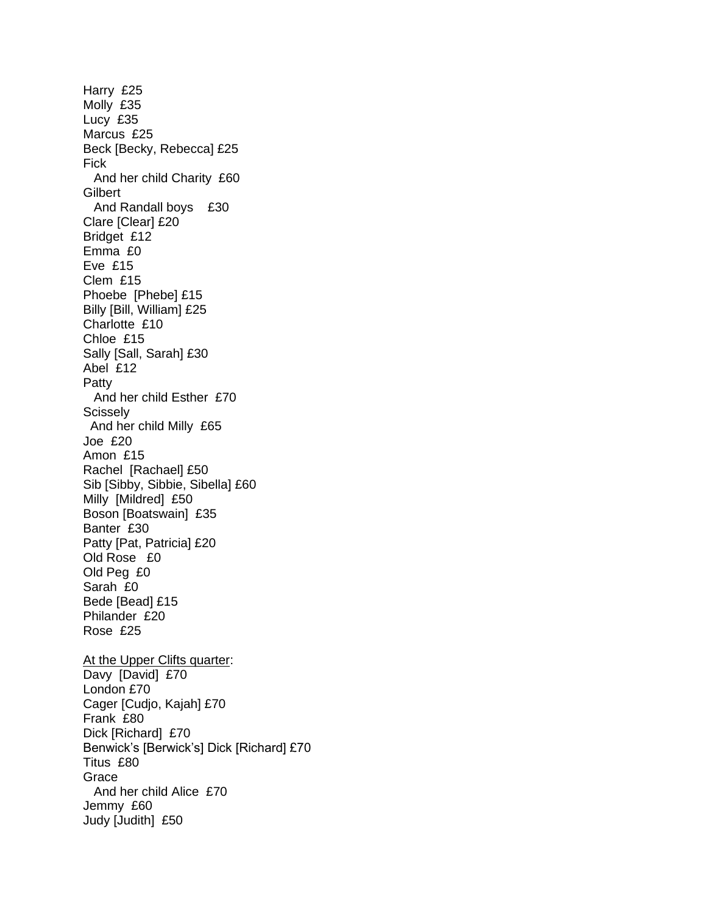Harry £25 Molly £35 Lucy £35 Marcus £25 Beck [Becky, Rebecca] £25 Fick And her child Charity £60 **Gilbert**  And Randall boys £30 Clare [Clear] £20 Bridget £12 Emma £0 Eve £15 Clem £15 Phoebe [Phebe] £15 Billy [Bill, William] £25 Charlotte £10 Chloe £15 Sally [Sall, Sarah] £30 Abel £12 Patty And her child Esther £70 **Scissely**  And her child Milly £65 Joe £20 Amon £15 Rachel [Rachael] £50 Sib [Sibby, Sibbie, Sibella] £60 Milly [Mildred] £50 Boson [Boatswain] £35 Banter £30 Patty [Pat, Patricia] £20 Old Rose £0 Old Peg £0 Sarah £0 Bede [Bead] £15 Philander £20 Rose £25 At the Upper Clifts quarter: Davy [David] £70 London £70 Cager [Cudjo, Kajah] £70 Frank £80 Dick [Richard] £70 Benwick's [Berwick's] Dick [Richard] £70 Titus £80 Grace And her child Alice £70 Jemmy £60 Judy [Judith] £50